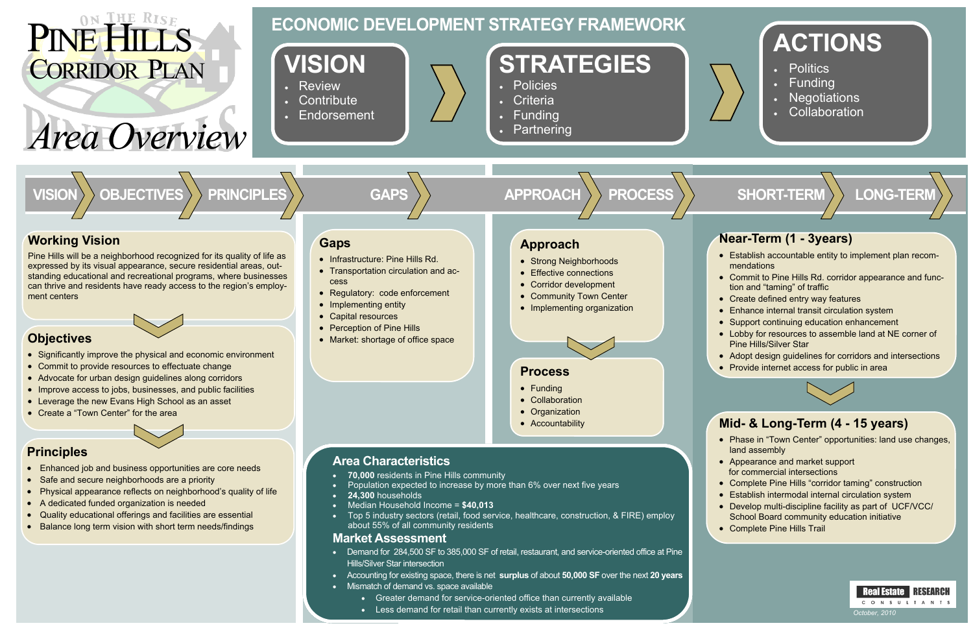## **ACTIONS**

- **Politics**
- **Funding**
- **Negotiations**
- **Collaboration**

**LONG-TERM** 

 $\bullet~$  Establish accountable entity to implement plan recommendations

- $\bullet~$  Commit to Pine Hills Rd. corridor appearance and function and "taming" of traffic "taming" of traffic
- Create defined entry way features
- Enhance internal transit circulation system
- Support continuing education enhancement
- Lobby for resources to assemble land at NE corner of Pine Hills/Silver Star
- Adopt design guidelines for corridors and intersections
- Provide internet access for public in area



# *Area Overview Area Overview*

### **Near-Term (1 - 3years)**

- Enhanced job and business opportunities are core needs
- Safe and secure neighborhoods are a priority
- Physical appearance reflects on neighborhood's quality of life
- A dedicated funded organization is needed
- Quality educational offerings and facilities are essential
- Balance long term vision with short term needs/findings
- Significantly improve the physical and economic environment
- Commit to provide resources to effectuate change
- Advocate for urban design guidelines along corridors
- Improve access to jobs, businesses, and public facilities
- Leverage the new Evans High School as an asset
- Create a "Town Center" for the area

### **Mid- & Long-Term (4 - 15 years)**

# PINE HISE PINE HISE CORRIDOR PLAN

- Phase in "Town Center" opportunities: land use changes, land assembly
- Appearance and market support for commercial intersections
- Complete Pine Hills "corridor taming" construction
- Establish intermodal internal circulation system
- Develop multi-discipline facility as part of UCF/VCC/ School Board community education initiative
- Complete Pine Hills Trail





### **ECONOMIC DEVELOPMENT STRATEGY FRAMEWORK**

### **Working Vision**

Pine Hills will be a neighborhood recognized for its quality of life as expressed by its visual appearance, secure residential areas, outstanding educational and recreational programs, where businesses can thrive and residents have ready access to the region's employment centers

### **Principles**

### **Objectives**

#### **Market Assessment**

- Demand for 284,500 SF to 385,000 SF of retail, restaurant, and service-oriented office at Pine Hills/Silver Star intersection
- Accounting for existing space, there is net **surplus** of about **50,000 SF** over the next **20 years**
- Mismatch of demand vs. space available
	- Greater demand for service-oriented office than currently available
	- Less demand for retail than currently exists at intersections